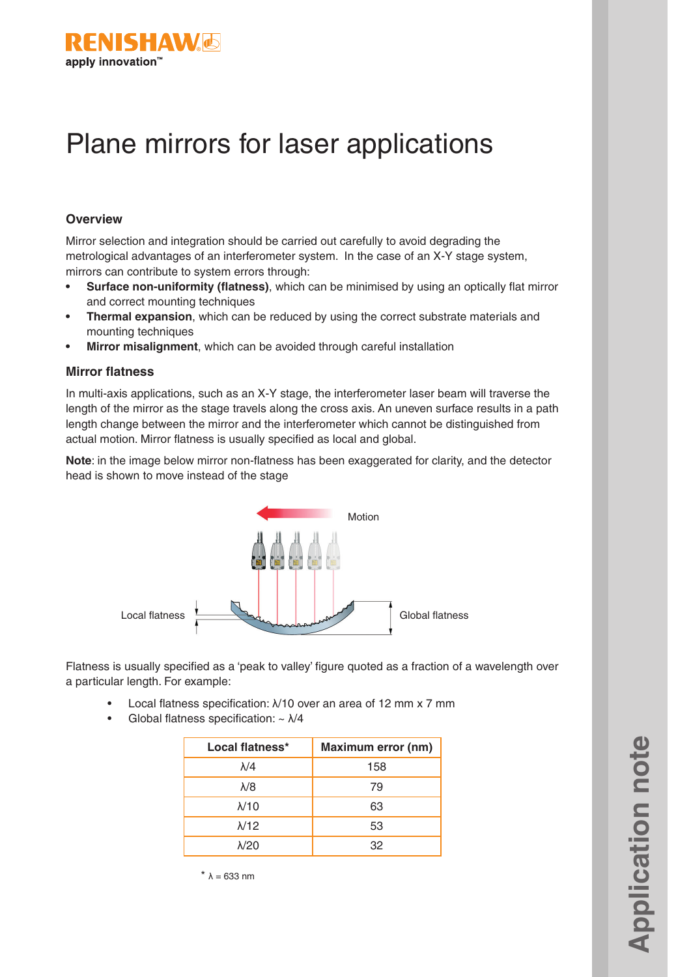

# Plane mirrors for laser applications

#### **Overview**

Mirror selection and integration should be carried out carefully to avoid degrading the metrological advantages of an interferometer system. In the case of an X-Y stage system, mirrors can contribute to system errors through:

- **• Surface non-uniformity (flatness)**, which can be minimised by using an optically flat mirror and correct mounting techniques
- **• Thermal expansion**, which can be reduced by using the correct substrate materials and mounting techniques
- **• Mirror misalignment**, which can be avoided through careful installation

#### **Mirror flatness**

In multi-axis applications, such as an X-Y stage, the interferometer laser beam will traverse the length of the mirror as the stage travels along the cross axis. An uneven surface results in a path length change between the mirror and the interferometer which cannot be distinguished from actual motion. Mirror flatness is usually specified as local and global.

**Note**: in the image below mirror non-flatness has been exaggerated for clarity, and the detector head is shown to move instead of the stage



Flatness is usually specified as a 'peak to valley' figure quoted as a fraction of a wavelength over a particular length. For example:

- Local flatness specification: λ/10 over an area of 12 mm x 7 mm
- Global flatness specification:  $\sim \frac{\lambda}{4}$

| Local flatness* | <b>Maximum error (nm)</b> |
|-----------------|---------------------------|
| $\lambda$ /4    | 158                       |
| $\lambda$ /8    | 79                        |
| $\lambda$ /10   | 63                        |
| $\lambda$ /12   | 53                        |
| $\lambda$ /20   | 32                        |

**Application note Application note** 

 $* \lambda = 633$  nm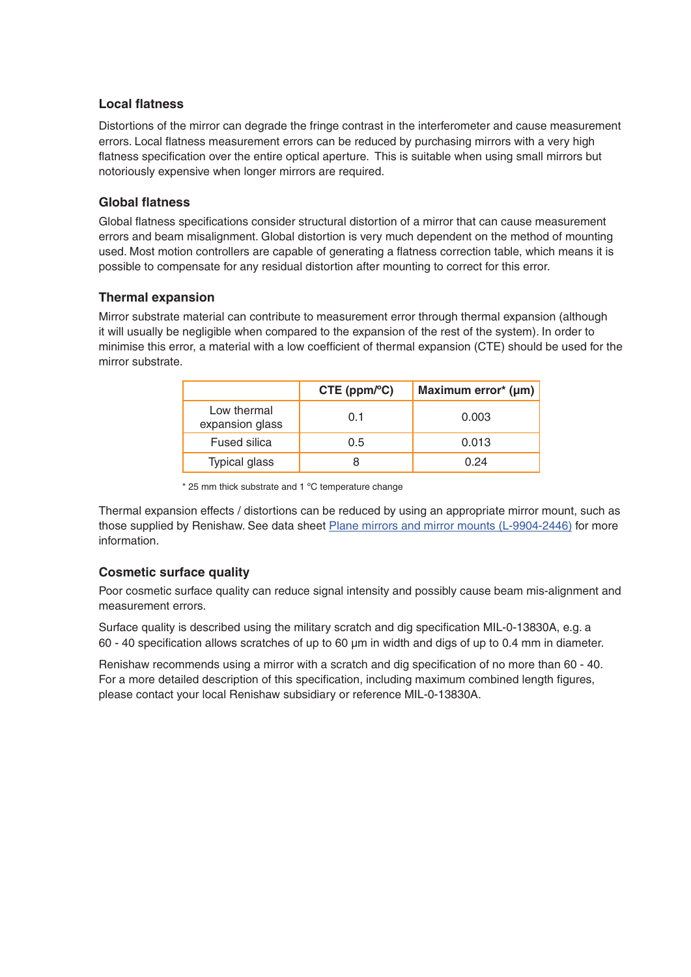# **Local flatness**

Distortions of the mirror can degrade the fringe contrast in the interferometer and cause measurement errors. Local flatness measurement errors can be reduced by purchasing mirrors with a very high flatness specification over the entire optical aperture. This is suitable when using small mirrors but notoriously expensive when longer mirrors are required.

## **Global flatness**

Global flatness specifications consider structural distortion of a mirror that can cause measurement errors and beam misalignment. Global distortion is very much dependent on the method of mounting used. Most motion controllers are capable of generating a flatness correction table, which means it is possible to compensate for any residual distortion after mounting to correct for this error.

#### **Thermal expansion**

Mirror substrate material can contribute to measurement error through thermal expansion (although it will usually be negligible when compared to the expansion of the rest of the system). In order to minimise this error, a material with a low coefficient of thermal expansion (CTE) should be used for the mirror substrate.

|                                | $CTE$ (ppm/ $^{\circ}$ C) | Maximum error* (µm) |
|--------------------------------|---------------------------|---------------------|
| Low thermal<br>expansion glass | 0.1                       | 0.003               |
| <b>Fused silica</b>            | 0.5                       | 0.013               |
| <b>Typical glass</b>           | 8                         | 0.24                |

\* 25 mm thick substrate and 1 ºC temperature change

Thermal expansion effects / distortions can be reduced by using an appropriate mirror mount, such as those supplied by Renishaw. See data sheet [Plane mirrors and mirror mounts \(L-9904-2446\)](http://resources.renishaw.com/en/details/data-sheet-plane-mirrors-and-mirror-mounts--49225) for more information.

# **Cosmetic surface quality**

Poor cosmetic surface quality can reduce signal intensity and possibly cause beam mis-alignment and measurement errors.

Surface quality is described using the military scratch and dig specification MIL-0-13830A, e.g. a 60 - 40 specification allows scratches of up to 60 µm in width and digs of up to 0.4 mm in diameter.

Renishaw recommends using a mirror with a scratch and dig specification of no more than 60 - 40. For a more detailed description of this specification, including maximum combined length figures, please contact your local Renishaw subsidiary or reference MIL-0-13830A.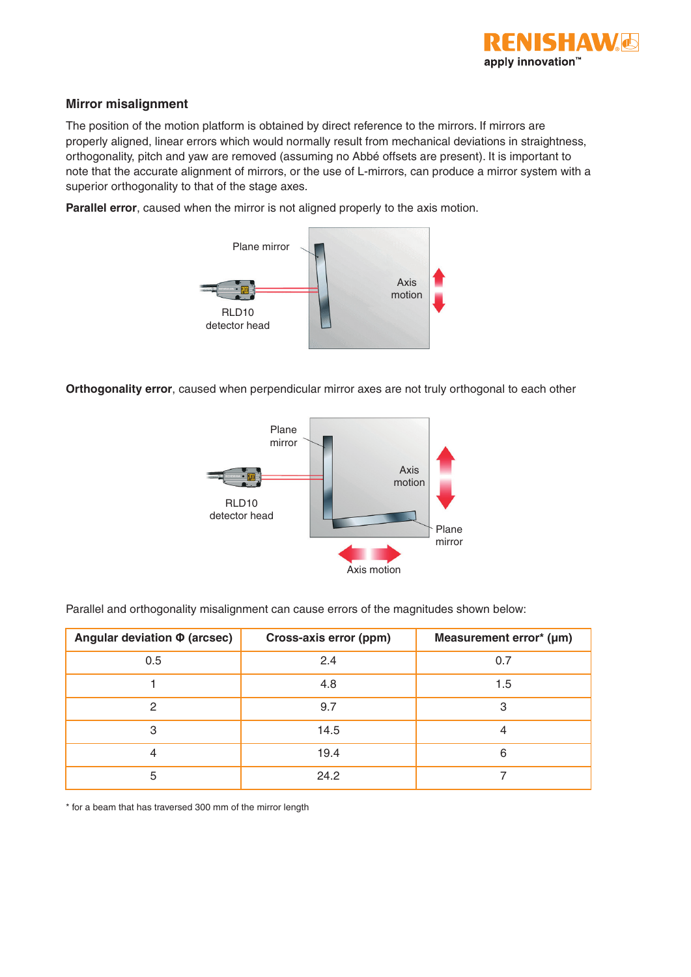

### **Mirror misalignment**

The position of the motion platform is obtained by direct reference to the mirrors. If mirrors are properly aligned, linear errors which would normally result from mechanical deviations in straightness, orthogonality, pitch and yaw are removed (assuming no Abbé offsets are present). It is important to note that the accurate alignment of mirrors, or the use of L-mirrors, can produce a mirror system with a superior orthogonality to that of the stage axes.

**Parallel error**, caused when the mirror is not aligned properly to the axis motion.



**Orthogonality error**, caused when perpendicular mirror axes are not truly orthogonal to each other



| Angular deviation $\Phi$ (arcsec) | Cross-axis error (ppm) | Measurement error* (µm) |
|-----------------------------------|------------------------|-------------------------|
| 0.5                               | 2.4                    | 0.7                     |
|                                   | 4.8                    | 1.5                     |
| 2                                 | 9.7                    | 3                       |
| 3                                 | 14.5                   |                         |
| 4                                 | 19.4                   | 6                       |
| 5                                 | 24.2                   |                         |

Parallel and orthogonality misalignment can cause errors of the magnitudes shown below:

\* for a beam that has traversed 300 mm of the mirror length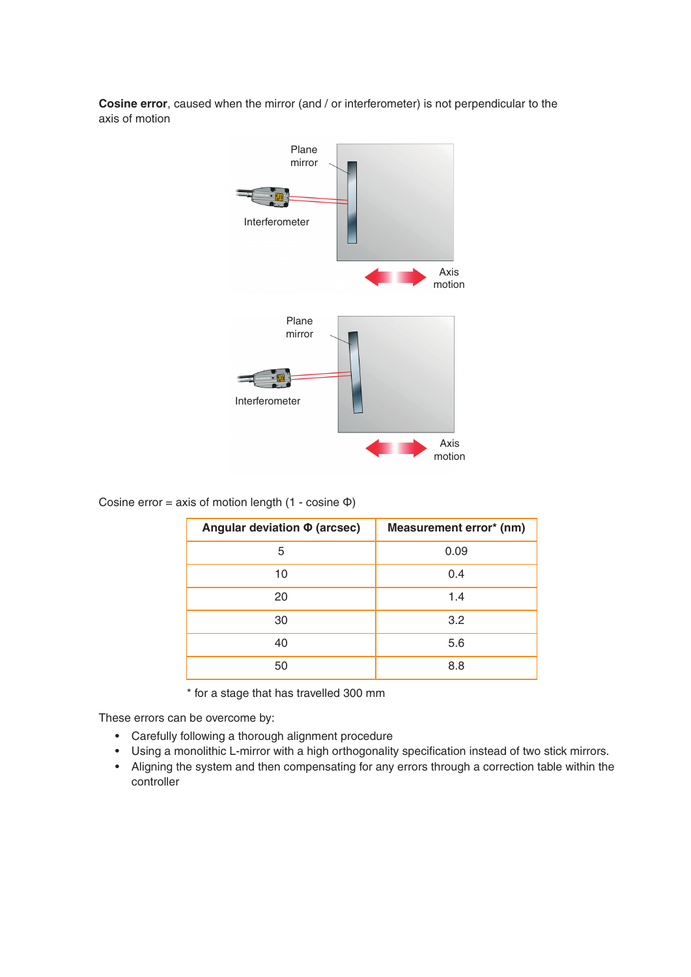



Cosine error = axis of motion length  $(1 - \cosh \phi)$ 

| Angular deviation Φ (arcsec) | Measurement error* (nm) |
|------------------------------|-------------------------|
| 5                            | 0.09                    |
| 10                           | 0.4                     |
| 20                           | 1.4                     |
| 30                           | 3.2                     |
| 40                           | 5.6                     |
| 50                           | 8.8                     |

\* for a stage that has travelled 300 mm

These errors can be overcome by:

- Carefully following a thorough alignment procedure
- Using a monolithic L-mirror with a high orthogonality specification instead of two stick mirrors.
- Aligning the system and then compensating for any errors through a correction table within the controller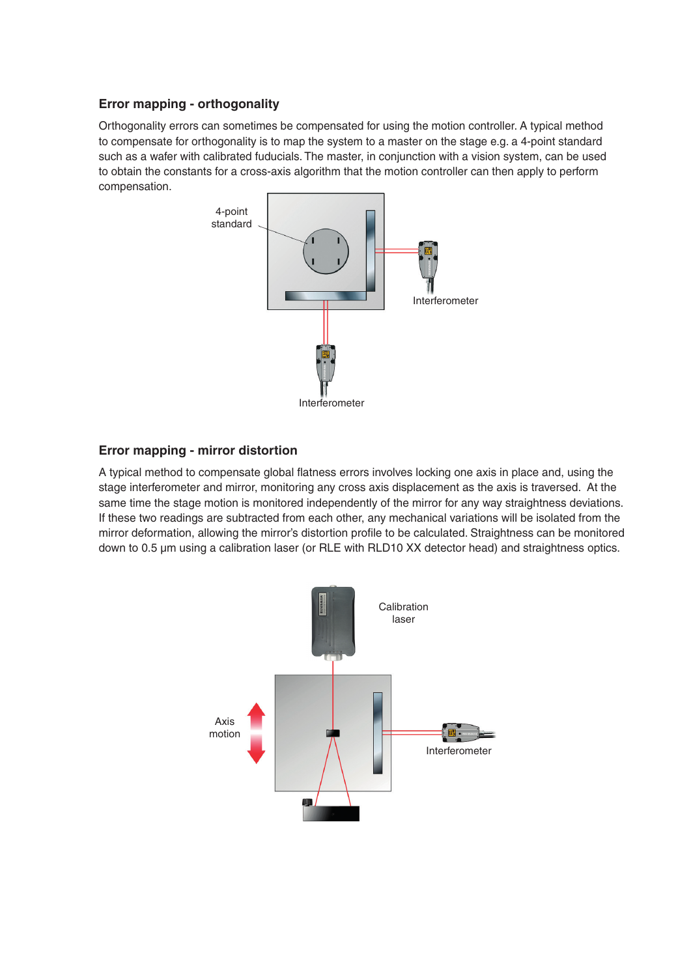# **Error mapping - orthogonality**

Orthogonality errors can sometimes be compensated for using the motion controller. A typical method to compensate for orthogonality is to map the system to a master on the stage e.g. a 4-point standard such as a wafer with calibrated fuducials. The master, in conjunction with a vision system, can be used to obtain the constants for a cross-axis algorithm that the motion controller can then apply to perform compensation.



# **Error mapping - mirror distortion**

A typical method to compensate global flatness errors involves locking one axis in place and, using the stage interferometer and mirror, monitoring any cross axis displacement as the axis is traversed. At the same time the stage motion is monitored independently of the mirror for any way straightness deviations. If these two readings are subtracted from each other, any mechanical variations will be isolated from the mirror deformation, allowing the mirror's distortion profile to be calculated. Straightness can be monitored down to 0.5 µm using a calibration laser (or RLE with RLD10 XX detector head) and straightness optics.